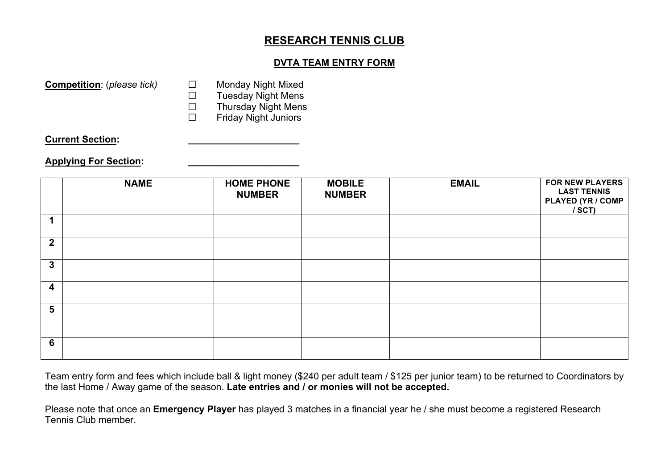## **RESEARCH TENNIS CLUB**

## **DVTA TEAM ENTRY FORM**

**Competition**: (*please tick*) □ Monday Night Mixed

 $\square$  Tuesday Night Mens

 $\square$  Thursday Night Mens

Friday Night Juniors

**Current Section: \_\_\_\_\_\_\_\_\_\_\_\_\_\_\_\_\_\_\_\_\_**

## **Applying For Section: \_\_\_\_\_\_\_\_\_\_\_\_\_\_\_\_\_\_\_\_\_**

|                | <b>NAME</b> | <b>HOME PHONE</b><br><b>NUMBER</b> | <b>MOBILE</b><br><b>NUMBER</b> | <b>EMAIL</b> | <b>FOR NEW PLAYERS</b><br><b>LAST TENNIS</b><br><b>PLAYED (YR / COMP</b><br>$/$ SCT) |
|----------------|-------------|------------------------------------|--------------------------------|--------------|--------------------------------------------------------------------------------------|
|                |             |                                    |                                |              |                                                                                      |
| $\overline{2}$ |             |                                    |                                |              |                                                                                      |
| $\mathbf{3}$   |             |                                    |                                |              |                                                                                      |
| 4              |             |                                    |                                |              |                                                                                      |
| 5              |             |                                    |                                |              |                                                                                      |
| 6              |             |                                    |                                |              |                                                                                      |

Team entry form and fees which include ball & light money (\$240 per adult team / \$125 per junior team) to be returned to Coordinators by the last Home / Away game of the season. **Late entries and / or monies will not be accepted.**

Please note that once an **Emergency Player** has played 3 matches in a financial year he / she must become a registered Research Tennis Club member.